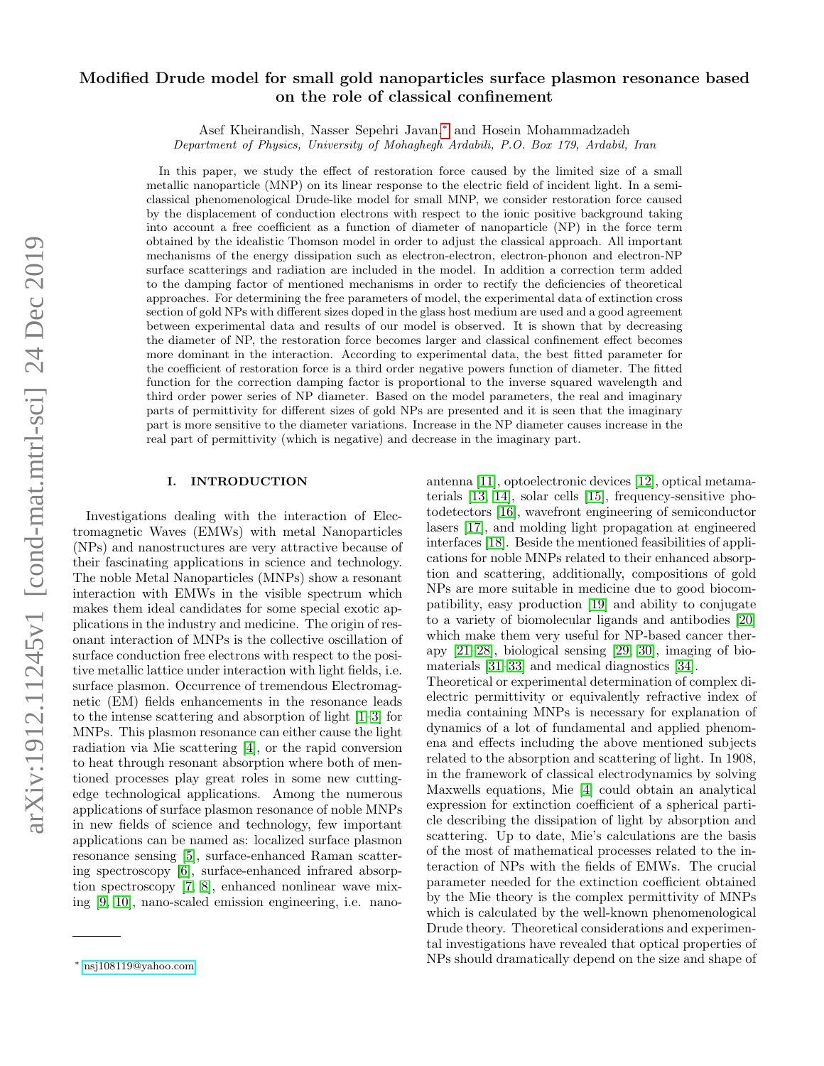# Modified Drude model for small gold nanoparticles surface plasmon resonance based on the role of classical confinement

Asef Kheirandish, Nasser Sepehri Javan,[∗](#page-0-0) and Hosein Mohammadzadeh Department of Physics, University of Mohaghegh Ardabili, P.O. Box 179, Ardabil, Iran

In this paper, we study the effect of restoration force caused by the limited size of a small metallic nanoparticle (MNP) on its linear response to the electric field of incident light. In a semiclassical phenomenological Drude-like model for small MNP, we consider restoration force caused by the displacement of conduction electrons with respect to the ionic positive background taking into account a free coefficient as a function of diameter of nanoparticle (NP) in the force term obtained by the idealistic Thomson model in order to adjust the classical approach. All important mechanisms of the energy dissipation such as electron-electron, electron-phonon and electron-NP surface scatterings and radiation are included in the model. In addition a correction term added to the damping factor of mentioned mechanisms in order to rectify the deficiencies of theoretical approaches. For determining the free parameters of model, the experimental data of extinction cross section of gold NPs with different sizes doped in the glass host medium are used and a good agreement between experimental data and results of our model is observed. It is shown that by decreasing the diameter of NP, the restoration force becomes larger and classical confinement effect becomes more dominant in the interaction. According to experimental data, the best fitted parameter for the coefficient of restoration force is a third order negative powers function of diameter. The fitted function for the correction damping factor is proportional to the inverse squared wavelength and third order power series of NP diameter. Based on the model parameters, the real and imaginary parts of permittivity for different sizes of gold NPs are presented and it is seen that the imaginary part is more sensitive to the diameter variations. Increase in the NP diameter causes increase in the real part of permittivity (which is negative) and decrease in the imaginary part.

## I. INTRODUCTION

Investigations dealing with the interaction of Electromagnetic Waves (EMWs) with metal Nanoparticles (NPs) and nanostructures are very attractive because of their fascinating applications in science and technology. The noble Metal Nanoparticles (MNPs) show a resonant interaction with EMWs in the visible spectrum which makes them ideal candidates for some special exotic applications in the industry and medicine. The origin of resonant interaction of MNPs is the collective oscillation of surface conduction free electrons with respect to the positive metallic lattice under interaction with light fields, i.e. surface plasmon. Occurrence of tremendous Electromagnetic (EM) fields enhancements in the resonance leads to the intense scattering and absorption of light [\[1](#page-6-0)[–3\]](#page-6-1) for MNPs. This plasmon resonance can either cause the light radiation via Mie scattering [\[4\]](#page-6-2), or the rapid conversion to heat through resonant absorption where both of mentioned processes play great roles in some new cuttingedge technological applications. Among the numerous applications of surface plasmon resonance of noble MNPs in new fields of science and technology, few important applications can be named as: localized surface plasmon resonance sensing [\[5\]](#page-6-3), surface-enhanced Raman scattering spectroscopy [\[6\]](#page-6-4), surface-enhanced infrared absorption spectroscopy [\[7,](#page-6-5) [8\]](#page-6-6), enhanced nonlinear wave mixing [\[9,](#page-6-7) [10\]](#page-6-8), nano-scaled emission engineering, i.e. nanoantenna [\[11\]](#page-6-9), optoelectronic devices [\[12\]](#page-6-10), optical metamaterials [\[13,](#page-6-11) [14\]](#page-6-12), solar cells [\[15\]](#page-6-13), frequency-sensitive photodetectors [\[16\]](#page-6-14), wavefront engineering of semiconductor lasers [\[17\]](#page-6-15), and molding light propagation at engineered interfaces [\[18\]](#page-6-16). Beside the mentioned feasibilities of applications for noble MNPs related to their enhanced absorption and scattering, additionally, compositions of gold NPs are more suitable in medicine due to good biocompatibility, easy production [\[19\]](#page-6-17) and ability to conjugate to a variety of biomolecular ligands and antibodies [\[20\]](#page-6-18) which make them very useful for NP-based cancer therapy [\[21](#page-6-19)[–28\]](#page-6-20), biological sensing [\[29,](#page-6-21) [30\]](#page-6-22), imaging of biomaterials [\[31–](#page-6-23)[33\]](#page-6-24) and medical diagnostics [\[34\]](#page-6-25). Theoretical or experimental determination of complex dielectric permittivity or equivalently refractive index of media containing MNPs is necessary for explanation of dynamics of a lot of fundamental and applied phenomena and effects including the above mentioned subjects related to the absorption and scattering of light. In 1908, in the framework of classical electrodynamics by solving Maxwells equations, Mie [\[4\]](#page-6-2) could obtain an analytical expression for extinction coefficient of a spherical parti-

cle describing the dissipation of light by absorption and scattering. Up to date, Mie's calculations are the basis of the most of mathematical processes related to the interaction of NPs with the fields of EMWs. The crucial parameter needed for the extinction coefficient obtained by the Mie theory is the complex permittivity of MNPs which is calculated by the well-known phenomenological Drude theory. Theoretical considerations and experimental investigations have revealed that optical properties of NPs should dramatically depend on the size and shape of

<span id="page-0-0"></span><sup>∗</sup> [nsj108119@yahoo.com](mailto:nsj108119@yahoo.com)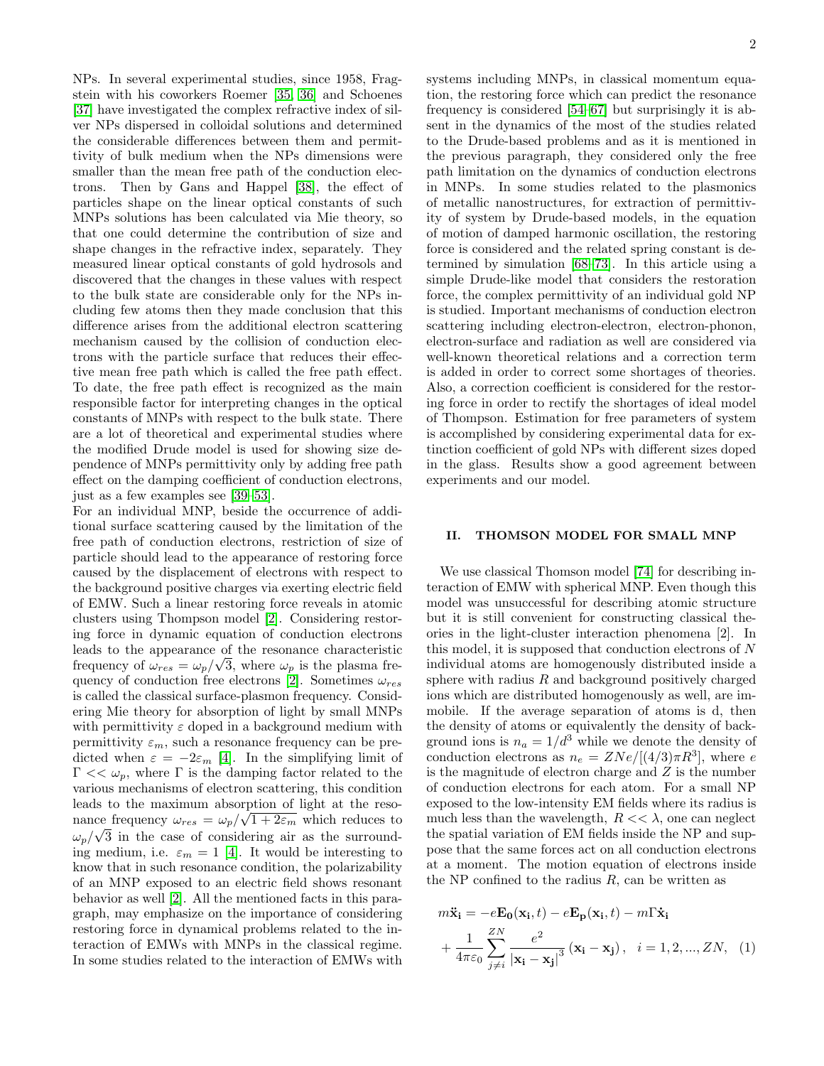NPs. In several experimental studies, since 1958, Fragstein with his coworkers Roemer [\[35,](#page-6-26) [36\]](#page-6-27) and Schoenes [\[37\]](#page-6-28) have investigated the complex refractive index of silver NPs dispersed in colloidal solutions and determined the considerable differences between them and permittivity of bulk medium when the NPs dimensions were smaller than the mean free path of the conduction electrons. Then by Gans and Happel [\[38\]](#page-6-29), the effect of particles shape on the linear optical constants of such MNPs solutions has been calculated via Mie theory, so that one could determine the contribution of size and shape changes in the refractive index, separately. They measured linear optical constants of gold hydrosols and discovered that the changes in these values with respect to the bulk state are considerable only for the NPs including few atoms then they made conclusion that this difference arises from the additional electron scattering mechanism caused by the collision of conduction electrons with the particle surface that reduces their effective mean free path which is called the free path effect. To date, the free path effect is recognized as the main responsible factor for interpreting changes in the optical constants of MNPs with respect to the bulk state. There are a lot of theoretical and experimental studies where the modified Drude model is used for showing size dependence of MNPs permittivity only by adding free path effect on the damping coefficient of conduction electrons, just as a few examples see [\[39–](#page-6-30)[53\]](#page-6-31).

For an individual MNP, beside the occurrence of additional surface scattering caused by the limitation of the free path of conduction electrons, restriction of size of particle should lead to the appearance of restoring force caused by the displacement of electrons with respect to the background positive charges via exerting electric field of EMW. Such a linear restoring force reveals in atomic clusters using Thompson model [\[2\]](#page-6-32). Considering restoring force in dynamic equation of conduction electrons leads to the appearance of the resonance characteristic √ frequency of  $\omega_{res} = \omega_p / \sqrt{3}$ , where  $\omega_p$  is the plasma frequency of conduction free electrons  $[2]$ . Sometimes  $\omega_{res}$ is called the classical surface-plasmon frequency. Considering Mie theory for absorption of light by small MNPs with permittivity  $\varepsilon$  doped in a background medium with permittivity  $\varepsilon_m$ , such a resonance frequency can be predicted when  $\varepsilon = -2\varepsilon_m$  [\[4\]](#page-6-2). In the simplifying limit of Γ <<  $ω_p$ , where Γ is the damping factor related to the various mechanisms of electron scattering, this condition leads to the maximum absorption of light at the resonance frequency  $\omega_{res} = \omega_p / \sqrt{1 + 2\varepsilon_m}$  which reduces to  $\omega_p/\sqrt{3}$  in the case of considering air as the surrounding medium, i.e.  $\varepsilon_m = 1$  [\[4\]](#page-6-2). It would be interesting to know that in such resonance condition, the polarizability of an MNP exposed to an electric field shows resonant behavior as well [\[2\]](#page-6-32). All the mentioned facts in this paragraph, may emphasize on the importance of considering restoring force in dynamical problems related to the interaction of EMWs with MNPs in the classical regime. In some studies related to the interaction of EMWs with

systems including MNPs, in classical momentum equation, the restoring force which can predict the resonance frequency is considered [\[54–](#page-6-33)[67\]](#page-7-0) but surprisingly it is absent in the dynamics of the most of the studies related to the Drude-based problems and as it is mentioned in the previous paragraph, they considered only the free path limitation on the dynamics of conduction electrons in MNPs. In some studies related to the plasmonics of metallic nanostructures, for extraction of permittivity of system by Drude-based models, in the equation of motion of damped harmonic oscillation, the restoring force is considered and the related spring constant is determined by simulation [\[68–](#page-7-1)[73\]](#page-7-2). In this article using a simple Drude-like model that considers the restoration force, the complex permittivity of an individual gold NP is studied. Important mechanisms of conduction electron scattering including electron-electron, electron-phonon, electron-surface and radiation as well are considered via well-known theoretical relations and a correction term is added in order to correct some shortages of theories. Also, a correction coefficient is considered for the restoring force in order to rectify the shortages of ideal model of Thompson. Estimation for free parameters of system is accomplished by considering experimental data for extinction coefficient of gold NPs with different sizes doped in the glass. Results show a good agreement between experiments and our model.

#### II. THOMSON MODEL FOR SMALL MNP

We use classical Thomson model [\[74\]](#page-7-3) for describing interaction of EMW with spherical MNP. Even though this model was unsuccessful for describing atomic structure but it is still convenient for constructing classical theories in the light-cluster interaction phenomena [2]. In this model, it is supposed that conduction electrons of N individual atoms are homogenously distributed inside a sphere with radius  $R$  and background positively charged ions which are distributed homogenously as well, are immobile. If the average separation of atoms is d, then the density of atoms or equivalently the density of background ions is  $n_a = 1/d^3$  while we denote the density of conduction electrons as  $n_e = ZNe/[(4/3)\pi R^3]$ , where e is the magnitude of electron charge and  $Z$  is the number of conduction electrons for each atom. For a small NP exposed to the low-intensity EM fields where its radius is much less than the wavelength,  $R \ll \lambda$ , one can neglect the spatial variation of EM fields inside the NP and suppose that the same forces act on all conduction electrons at a moment. The motion equation of electrons inside the NP confined to the radius  $R$ , can be written as

$$
m\ddot{\mathbf{x}}_{\mathbf{i}} = -e\mathbf{E_0}(\mathbf{x}_\mathbf{i}, t) - e\mathbf{E_p}(\mathbf{x}_\mathbf{i}, t) - m\Gamma\dot{\mathbf{x}}_{\mathbf{i}}
$$

$$
+ \frac{1}{4\pi\varepsilon_0} \sum_{j \neq i}^{ZN} \frac{e^2}{|\mathbf{x}_\mathbf{i} - \mathbf{x}_\mathbf{j}|^3} (\mathbf{x}_\mathbf{i} - \mathbf{x}_\mathbf{j}), \quad i = 1, 2, ..., ZN, \quad (1)
$$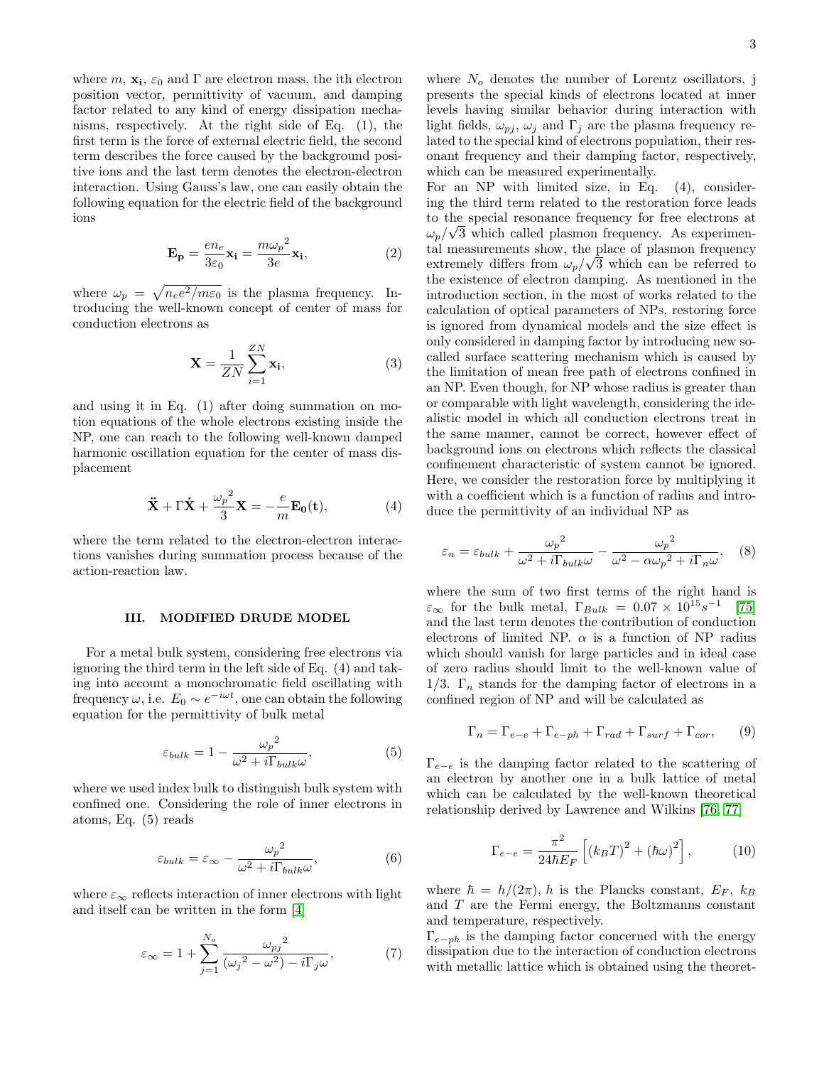where  $m$ ,  $\mathbf{x_i}$ ,  $\varepsilon_0$  and  $\Gamma$  are electron mass, the ith electron position vector, permittivity of vacuum, and damping factor related to any kind of energy dissipation mechanisms, respectively. At the right side of Eq. (1), the first term is the force of external electric field, the second term describes the force caused by the background positive ions and the last term denotes the electron-electron interaction. Using Gauss's law, one can easily obtain the following equation for the electric field of the background ions

$$
\mathbf{E}_{\mathbf{p}} = \frac{en_e}{3\varepsilon_0} \mathbf{x_i} = \frac{m\omega_p^2}{3e} \mathbf{x_i},\tag{2}
$$

where  $\omega_p = \sqrt{n_e e^2/m \varepsilon_0}$  is the plasma frequency. Introducing the well-known concept of center of mass for conduction electrons as

$$
\mathbf{X} = \frac{1}{ZN} \sum_{i=1}^{ZN} \mathbf{x_i},\tag{3}
$$

and using it in Eq. (1) after doing summation on motion equations of the whole electrons existing inside the NP, one can reach to the following well-known damped harmonic oscillation equation for the center of mass displacement

$$
\ddot{\mathbf{X}} + \Gamma \dot{\mathbf{X}} + \frac{\omega_p^2}{3} \mathbf{X} = -\frac{e}{m} \mathbf{E_0(t)},\tag{4}
$$

where the term related to the electron-electron interactions vanishes during summation process because of the action-reaction law.

#### III. MODIFIED DRUDE MODEL

For a metal bulk system, considering free electrons via ignoring the third term in the left side of Eq. (4) and taking into account a monochromatic field oscillating with frequency  $\omega$ , i.e.  $E_0 \sim e^{-i\omega t}$ , one can obtain the following equation for the permittivity of bulk metal

$$
\varepsilon_{bulk} = 1 - \frac{\omega_p^2}{\omega^2 + i\Gamma_{bulk}\omega},\tag{5}
$$

where we used index bulk to distinguish bulk system with confined one. Considering the role of inner electrons in atoms, Eq. (5) reads

$$
\varepsilon_{bulk} = \varepsilon_{\infty} - \frac{\omega_p^2}{\omega^2 + i\Gamma_{bulk}\omega},\tag{6}
$$

where  $\varepsilon_{\infty}$  reflects interaction of inner electrons with light and itself can be written in the form [\[4\]](#page-6-2)

$$
\varepsilon_{\infty} = 1 + \sum_{j=1}^{N_o} \frac{\omega_{pj}^2}{(\omega_j^2 - \omega^2) - i\Gamma_j \omega},\tag{7}
$$

where  $N<sub>o</sub>$  denotes the number of Lorentz oscillators, j presents the special kinds of electrons located at inner levels having similar behavior during interaction with light fields,  $\omega_{pj}$ ,  $\omega_j$  and  $\Gamma_j$  are the plasma frequency related to the special kind of electrons population, their resonant frequency and their damping factor, respectively, which can be measured experimentally.

For an NP with limited size, in Eq. (4), considering the third term related to the restoration force leads to the special resonance frequency for free electrons at √  $\omega_p/\sqrt{3}$  which called plasmon frequency. As experimental measurements show, the place of plasmon frequency extremely differs from  $\omega_p/\sqrt{3}$  which can be referred to the existence of electron damping. As mentioned in the introduction section, in the most of works related to the calculation of optical parameters of NPs, restoring force is ignored from dynamical models and the size effect is only considered in damping factor by introducing new socalled surface scattering mechanism which is caused by the limitation of mean free path of electrons confined in an NP. Even though, for NP whose radius is greater than or comparable with light wavelength, considering the idealistic model in which all conduction electrons treat in the same manner, cannot be correct, however effect of background ions on electrons which reflects the classical confinement characteristic of system cannot be ignored. Here, we consider the restoration force by multiplying it with a coefficient which is a function of radius and introduce the permittivity of an individual NP as

$$
\varepsilon_n = \varepsilon_{bulk} + \frac{\omega_p^2}{\omega^2 + i\Gamma_{bulk}\omega} - \frac{\omega_p^2}{\omega^2 - \alpha\omega_p^2 + i\Gamma_n\omega}, \quad (8)
$$

where the sum of two first terms of the right hand is  $\varepsilon_{\infty}$  for the bulk metal,  $\Gamma_{Bulk} = 0.07 \times 10^{15} s^{-1}$ [\[75\]](#page-7-4) and the last term denotes the contribution of conduction electrons of limited NP.  $\alpha$  is a function of NP radius which should vanish for large particles and in ideal case of zero radius should limit to the well-known value of 1/3.  $\Gamma_n$  stands for the damping factor of electrons in a confined region of NP and will be calculated as

$$
\Gamma_n = \Gamma_{e-e} + \Gamma_{e-ph} + \Gamma_{rad} + \Gamma_{surf} + \Gamma_{cor}, \qquad (9)
$$

 $\Gamma_{e-e}$  is the damping factor related to the scattering of an electron by another one in a bulk lattice of metal which can be calculated by the well-known theoretical relationship derived by Lawrence and Wilkins [\[76,](#page-7-5) [77\]](#page-7-6)

$$
\Gamma_{e-e} = \frac{\pi^2}{24\hbar E_F} \left[ \left( k_B T \right)^2 + \left( \hbar \omega \right)^2 \right],\tag{10}
$$

where  $\hbar = h/(2\pi)$ , h is the Plancks constant,  $E_F$ ,  $k_B$ and T are the Fermi energy, the Boltzmanns constant and temperature, respectively.

 $\Gamma_{e-ph}$  is the damping factor concerned with the energy dissipation due to the interaction of conduction electrons with metallic lattice which is obtained using the theoret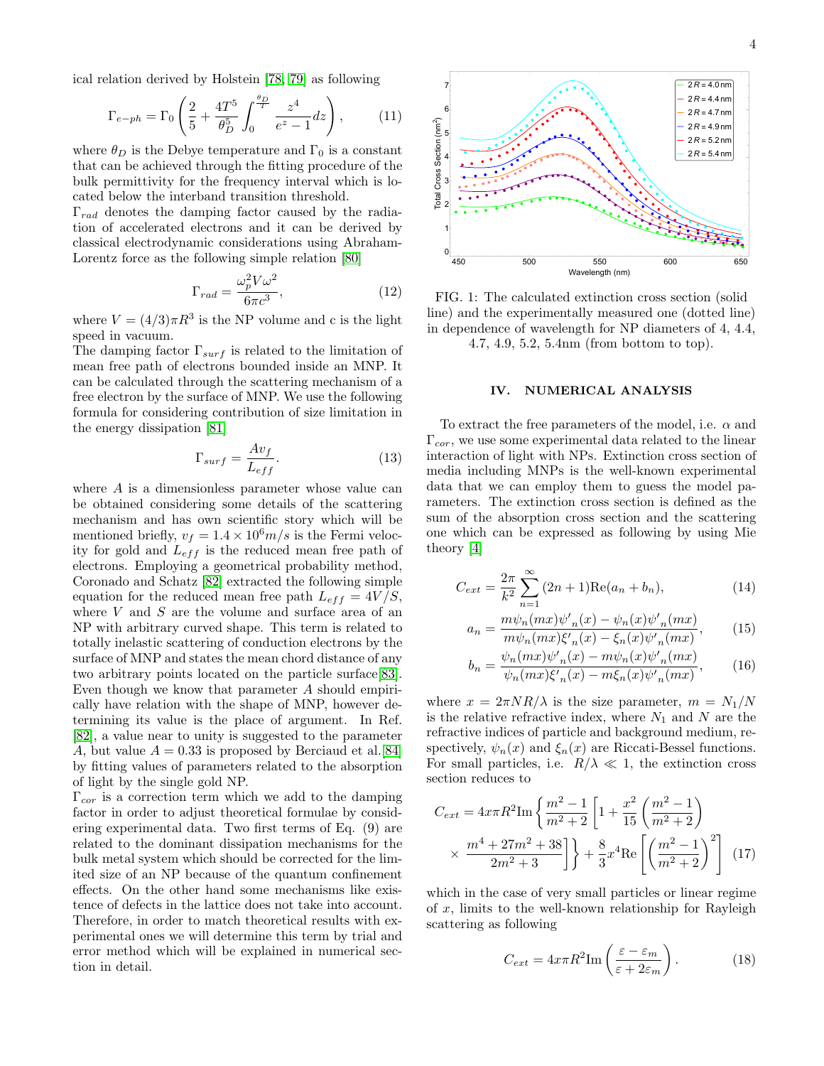ical relation derived by Holstein [\[78,](#page-7-7) [79\]](#page-7-8) as following

$$
\Gamma_{e-ph} = \Gamma_0 \left( \frac{2}{5} + \frac{4T^5}{\theta_D^5} \int_0^{\frac{\theta_D}{T}} \frac{z^4}{e^z - 1} dz \right), \tag{11}
$$

where  $\theta_D$  is the Debye temperature and  $\Gamma_0$  is a constant that can be achieved through the fitting procedure of the bulk permittivity for the frequency interval which is located below the interband transition threshold.

 $\Gamma_{rad}$  denotes the damping factor caused by the radiation of accelerated electrons and it can be derived by classical electrodynamic considerations using Abraham-Lorentz force as the following simple relation [\[80\]](#page-7-9)

$$
\Gamma_{rad} = \frac{\omega_p^2 V \omega^2}{6\pi c^3},\tag{12}
$$

where  $V = (4/3)\pi R^3$  is the NP volume and c is the light speed in vacuum.

The damping factor  $\Gamma_{surf}$  is related to the limitation of mean free path of electrons bounded inside an MNP. It can be calculated through the scattering mechanism of a free electron by the surface of MNP. We use the following formula for considering contribution of size limitation in the energy dissipation [\[81\]](#page-7-10)

$$
\Gamma_{surf} = \frac{Av_f}{L_{eff}}.\tag{13}
$$

where A is a dimensionless parameter whose value can be obtained considering some details of the scattering mechanism and has own scientific story which will be mentioned briefly,  $v_f = 1.4 \times 10^6 m/s$  is the Fermi velocity for gold and  $L_{eff}$  is the reduced mean free path of electrons. Employing a geometrical probability method, Coronado and Schatz [\[82\]](#page-7-11) extracted the following simple equation for the reduced mean free path  $L_{eff} = 4V/S$ , where  $V$  and  $S$  are the volume and surface area of an NP with arbitrary curved shape. This term is related to totally inelastic scattering of conduction electrons by the surface of MNP and states the mean chord distance of any two arbitrary points located on the particle surface[\[83\]](#page-7-12). Even though we know that parameter A should empirically have relation with the shape of MNP, however determining its value is the place of argument. In Ref. [\[82\]](#page-7-11), a value near to unity is suggested to the parameter A, but value  $A = 0.33$  is proposed by Berciaud et al. [\[84\]](#page-7-13) by fitting values of parameters related to the absorption of light by the single gold NP.

 $\Gamma_{cor}$  is a correction term which we add to the damping factor in order to adjust theoretical formulae by considering experimental data. Two first terms of Eq. (9) are related to the dominant dissipation mechanisms for the bulk metal system which should be corrected for the limited size of an NP because of the quantum confinement effects. On the other hand some mechanisms like existence of defects in the lattice does not take into account. Therefore, in order to match theoretical results with experimental ones we will determine this term by trial and error method which will be explained in numerical section in detail.



FIG. 1: The calculated extinction cross section (solid line) and the experimentally measured one (dotted line) in dependence of wavelength for NP diameters of 4, 4.4, 4.7, 4.9, 5.2, 5.4nm (from bottom to top).

## IV. NUMERICAL ANALYSIS

To extract the free parameters of the model, i.e.  $\alpha$  and  $\Gamma_{cor}$ , we use some experimental data related to the linear interaction of light with NPs. Extinction cross section of media including MNPs is the well-known experimental data that we can employ them to guess the model parameters. The extinction cross section is defined as the sum of the absorption cross section and the scattering one which can be expressed as following by using Mie theory [\[4\]](#page-6-2)

$$
C_{ext} = \frac{2\pi}{k^2} \sum_{n=1}^{\infty} (2n+1) \text{Re}(a_n + b_n), \tag{14}
$$

$$
a_n = \frac{m\psi_n(mx)\psi'_n(x) - \psi_n(x)\psi'_n(mx)}{m\psi_n(mx)\xi'_n(x) - \xi_n(x)\psi'_n(mx)},
$$
 (15)

$$
b_n = \frac{\psi_n(mx)\psi'_n(x) - m\psi_n(x)\psi'_n(mx)}{\psi_n(mx)\xi'_n(x) - m\xi_n(x)\psi'_n(mx)},\tag{16}
$$

where  $x = 2\pi NR/\lambda$  is the size parameter,  $m = N_1/N$ is the relative refractive index, where  $N_1$  and N are the refractive indices of particle and background medium, respectively,  $\psi_n(x)$  and  $\xi_n(x)$  are Riccati-Bessel functions. For small particles, i.e.  $R/\lambda \ll 1$ , the extinction cross section reduces to

$$
C_{ext} = 4\pi R^2 \text{Im} \left\{ \frac{m^2 - 1}{m^2 + 2} \left[ 1 + \frac{x^2}{15} \left( \frac{m^2 - 1}{m^2 + 2} \right) \right. \right. \times \frac{m^4 + 27m^2 + 38}{2m^2 + 3} \right] \bigg\} + \frac{8}{3} x^4 \text{Re} \left[ \left( \frac{m^2 - 1}{m^2 + 2} \right)^2 \right] \tag{17}
$$

which in the case of very small particles or linear regime of  $x$ , limits to the well-known relationship for Rayleigh scattering as following

$$
C_{ext} = 4x\pi R^2 \text{Im}\left(\frac{\varepsilon - \varepsilon_m}{\varepsilon + 2\varepsilon_m}\right). \tag{18}
$$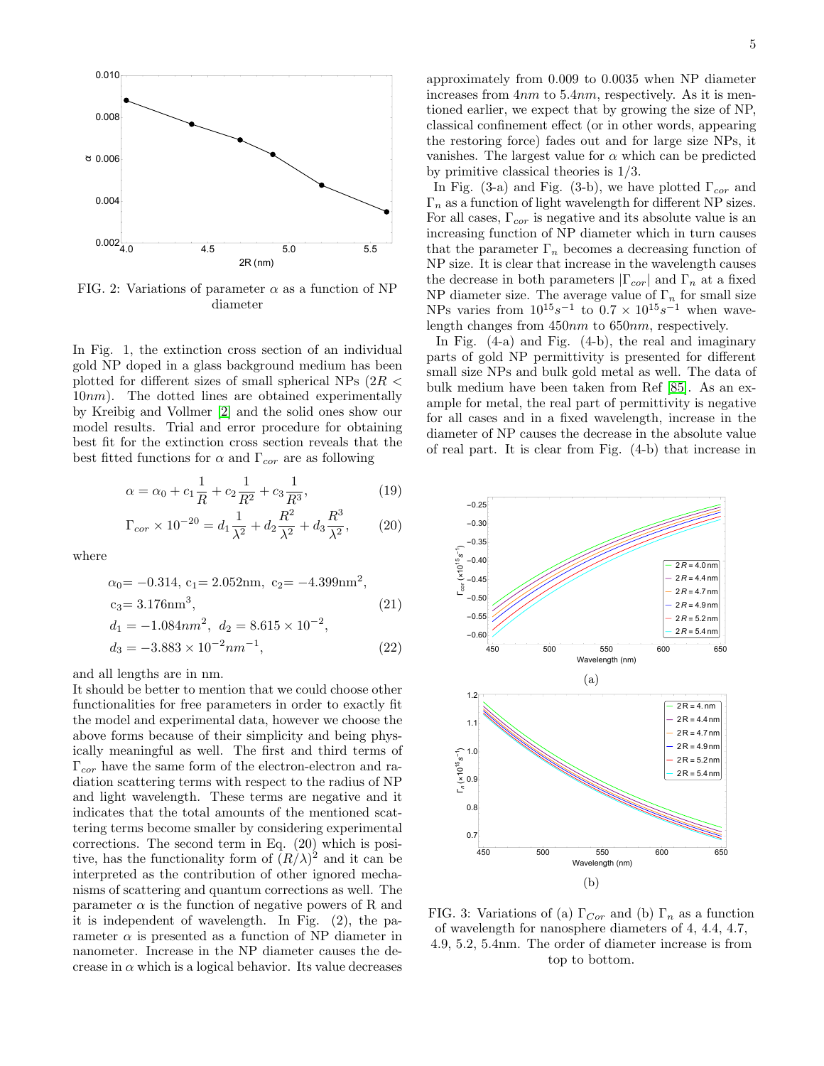

FIG. 2: Variations of parameter  $\alpha$  as a function of NP diameter

In Fig. 1, the extinction cross section of an individual gold NP doped in a glass background medium has been plotted for different sizes of small spherical NPs  $(2R <$  $10nm$ ). The dotted lines are obtained experimentally by Kreibig and Vollmer [\[2\]](#page-6-32) and the solid ones show our model results. Trial and error procedure for obtaining best fit for the extinction cross section reveals that the best fitted functions for  $\alpha$  and  $\Gamma_{cor}$  are as following

$$
\alpha = \alpha_0 + c_1 \frac{1}{R} + c_2 \frac{1}{R^2} + c_3 \frac{1}{R^3},\tag{19}
$$

$$
\Gamma_{cor} \times 10^{-20} = d_1 \frac{1}{\lambda^2} + d_2 \frac{R^2}{\lambda^2} + d_3 \frac{R^3}{\lambda^2},\tag{20}
$$

where

$$
\alpha_0 = -0.314, c_1 = 2.052 \text{nm}, c_2 = -4.399 \text{nm}^2,
$$
  
\n
$$
c_3 = 3.176 \text{nm}^3,
$$
  
\n
$$
d_1 = -1.084 \text{nm}^2, d_2 = 8.615 \times 10^{-2},
$$
  
\n
$$
d_3 = -3.883 \times 10^{-2} \text{nm}^{-1},
$$
\n(22)

and all lengths are in nm.

It should be better to mention that we could choose other functionalities for free parameters in order to exactly fit the model and experimental data, however we choose the above forms because of their simplicity and being physically meaningful as well. The first and third terms of  $\Gamma_{cor}$  have the same form of the electron-electron and radiation scattering terms with respect to the radius of NP and light wavelength. These terms are negative and it indicates that the total amounts of the mentioned scattering terms become smaller by considering experimental corrections. The second term in Eq. (20) which is positive, has the functionality form of  $(R/\lambda)^2$  and it can be interpreted as the contribution of other ignored mechanisms of scattering and quantum corrections as well. The parameter  $\alpha$  is the function of negative powers of R and it is independent of wavelength. In Fig. (2), the parameter  $\alpha$  is presented as a function of NP diameter in nanometer. Increase in the NP diameter causes the decrease in  $\alpha$  which is a logical behavior. Its value decreases

approximately from 0.009 to 0.0035 when NP diameter increases from 4nm to 5.4nm, respectively. As it is mentioned earlier, we expect that by growing the size of NP, classical confinement effect (or in other words, appearing the restoring force) fades out and for large size NPs, it vanishes. The largest value for  $\alpha$  which can be predicted by primitive classical theories is 1/3.

In Fig. (3-a) and Fig. (3-b), we have plotted  $\Gamma_{cor}$  and  $\Gamma_n$  as a function of light wavelength for different NP sizes. For all cases,  $\Gamma_{cor}$  is negative and its absolute value is an increasing function of NP diameter which in turn causes that the parameter  $\Gamma_n$  becomes a decreasing function of NP size. It is clear that increase in the wavelength causes the decrease in both parameters  $|\Gamma_{cor}|$  and  $\Gamma_n$  at a fixed NP diameter size. The average value of  $\Gamma_n$  for small size NPs varies from  $10^{15}s^{-1}$  to  $0.7 \times 10^{15}s^{-1}$  when wavelength changes from 450nm to 650nm, respectively.

In Fig. (4-a) and Fig. (4-b), the real and imaginary parts of gold NP permittivity is presented for different small size NPs and bulk gold metal as well. The data of bulk medium have been taken from Ref [\[85\]](#page-7-14). As an example for metal, the real part of permittivity is negative for all cases and in a fixed wavelength, increase in the diameter of NP causes the decrease in the absolute value of real part. It is clear from Fig. (4-b) that increase in



FIG. 3: Variations of (a)  $\Gamma_{Cor}$  and (b)  $\Gamma_n$  as a function of wavelength for nanosphere diameters of 4, 4.4, 4.7, 4.9, 5.2, 5.4nm. The order of diameter increase is from top to bottom.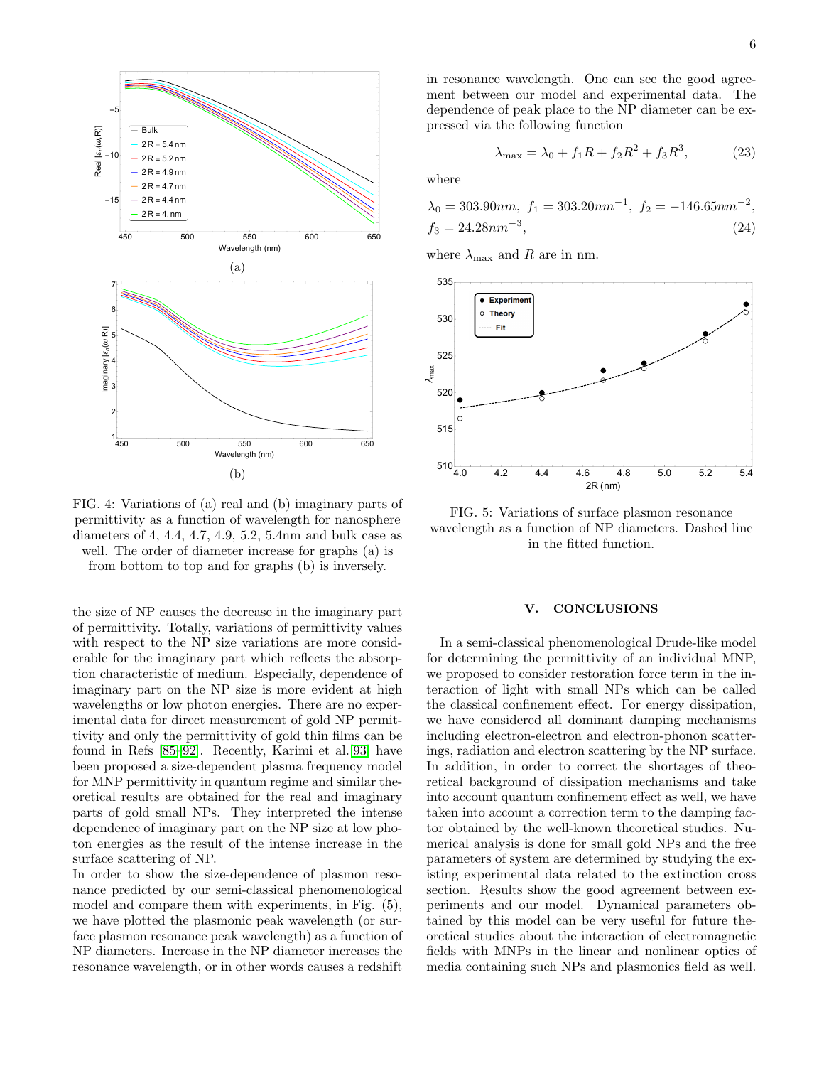

FIG. 4: Variations of (a) real and (b) imaginary parts of permittivity as a function of wavelength for nanosphere diameters of 4, 4.4, 4.7, 4.9, 5.2, 5.4nm and bulk case as well. The order of diameter increase for graphs (a) is

from bottom to top and for graphs (b) is inversely.

the size of NP causes the decrease in the imaginary part of permittivity. Totally, variations of permittivity values with respect to the NP size variations are more considerable for the imaginary part which reflects the absorption characteristic of medium. Especially, dependence of imaginary part on the NP size is more evident at high wavelengths or low photon energies. There are no experimental data for direct measurement of gold NP permittivity and only the permittivity of gold thin films can be found in Refs [\[85–](#page-7-14)[92\]](#page-7-15). Recently, Karimi et al.[\[93\]](#page-7-16) have been proposed a size-dependent plasma frequency model for MNP permittivity in quantum regime and similar theoretical results are obtained for the real and imaginary parts of gold small NPs. They interpreted the intense dependence of imaginary part on the NP size at low photon energies as the result of the intense increase in the surface scattering of NP.

In order to show the size-dependence of plasmon resonance predicted by our semi-classical phenomenological model and compare them with experiments, in Fig. (5), we have plotted the plasmonic peak wavelength (or surface plasmon resonance peak wavelength) as a function of NP diameters. Increase in the NP diameter increases the resonance wavelength, or in other words causes a redshift

in resonance wavelength. One can see the good agreement between our model and experimental data. The dependence of peak place to the NP diameter can be expressed via the following function

$$
\lambda_{\text{max}} = \lambda_0 + f_1 R + f_2 R^2 + f_3 R^3, \tag{23}
$$

where

$$
\lambda_0 = 303.90nm, f_1 = 303.20nm^{-1}, f_2 = -146.65nm^{-2},
$$
  
\n $f_3 = 24.28nm^{-3},$ \n(24)

where  $\lambda_{\text{max}}$  and R are in nm.



FIG. 5: Variations of surface plasmon resonance wavelength as a function of NP diameters. Dashed line in the fitted function.

### V. CONCLUSIONS

In a semi-classical phenomenological Drude-like model for determining the permittivity of an individual MNP, we proposed to consider restoration force term in the interaction of light with small NPs which can be called the classical confinement effect. For energy dissipation, we have considered all dominant damping mechanisms including electron-electron and electron-phonon scatterings, radiation and electron scattering by the NP surface. In addition, in order to correct the shortages of theoretical background of dissipation mechanisms and take into account quantum confinement effect as well, we have taken into account a correction term to the damping factor obtained by the well-known theoretical studies. Numerical analysis is done for small gold NPs and the free parameters of system are determined by studying the existing experimental data related to the extinction cross section. Results show the good agreement between experiments and our model. Dynamical parameters obtained by this model can be very useful for future theoretical studies about the interaction of electromagnetic fields with MNPs in the linear and nonlinear optics of media containing such NPs and plasmonics field as well.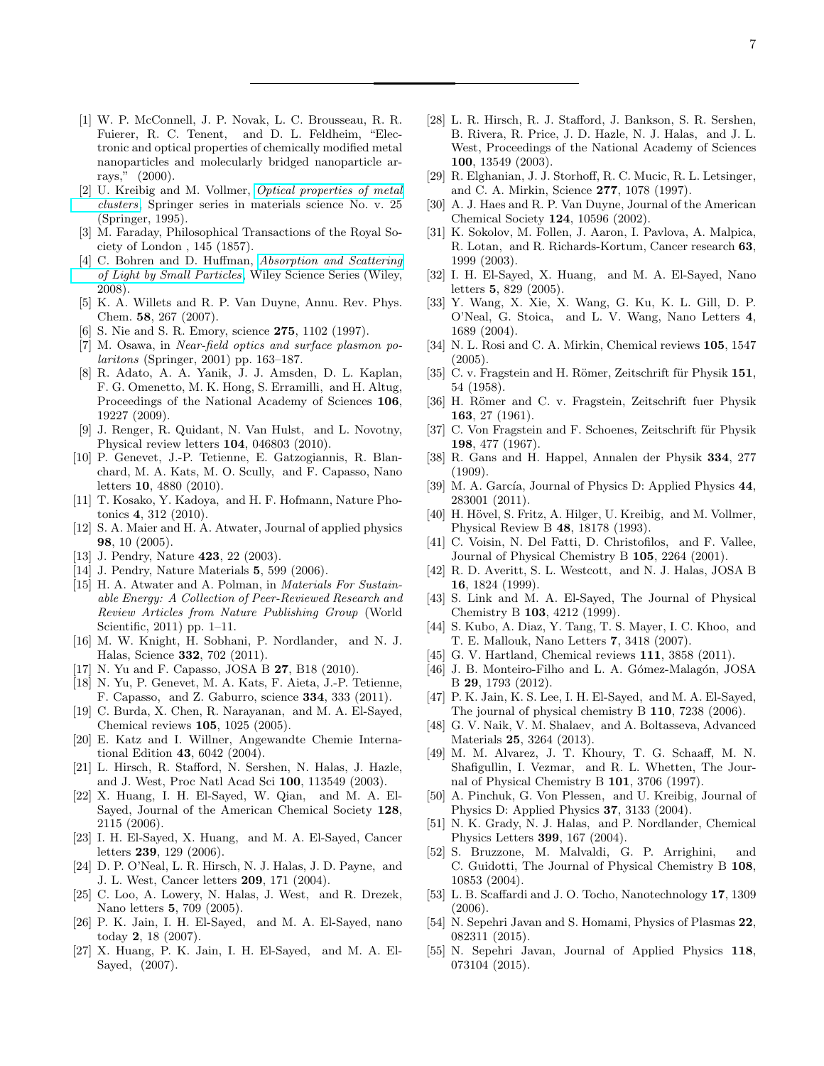- <span id="page-6-0"></span>[1] W. P. McConnell, J. P. Novak, L. C. Brousseau, R. R. Fuierer, R. C. Tenent, and D. L. Feldheim, "Electronic and optical properties of chemically modified metal nanoparticles and molecularly bridged nanoparticle arrays," (2000).
- <span id="page-6-32"></span>[2] U. Kreibig and M. Vollmer, [Optical properties of metal](https://books.google.com/books?id=jYhRAAAAMAAJ) [clusters](https://books.google.com/books?id=jYhRAAAAMAAJ), Springer series in materials science No. v. 25 (Springer, 1995).
- <span id="page-6-1"></span>[3] M. Faraday, Philosophical Transactions of the Royal Society of London , 145 (1857).
- <span id="page-6-2"></span>[4] C. Bohren and D. Huffman, [Absorption and Scattering](https://books.google.com/books?id=ib3EMXXIRXUC) [of Light by Small Particles](https://books.google.com/books?id=ib3EMXXIRXUC), Wiley Science Series (Wiley, 2008).
- <span id="page-6-3"></span>[5] K. A. Willets and R. P. Van Duyne, Annu. Rev. Phys. Chem. 58, 267 (2007).
- <span id="page-6-4"></span>[6] S. Nie and S. R. Emory, science 275, 1102 (1997).
- <span id="page-6-5"></span>[7] M. Osawa, in Near-field optics and surface plasmon polaritons (Springer, 2001) pp. 163–187.
- <span id="page-6-6"></span>[8] R. Adato, A. A. Yanik, J. J. Amsden, D. L. Kaplan, F. G. Omenetto, M. K. Hong, S. Erramilli, and H. Altug, Proceedings of the National Academy of Sciences 106, 19227 (2009).
- <span id="page-6-7"></span>[9] J. Renger, R. Quidant, N. Van Hulst, and L. Novotny, Physical review letters 104, 046803 (2010).
- <span id="page-6-8"></span>[10] P. Genevet, J.-P. Tetienne, E. Gatzogiannis, R. Blanchard, M. A. Kats, M. O. Scully, and F. Capasso, Nano letters 10, 4880 (2010).
- <span id="page-6-9"></span>[11] T. Kosako, Y. Kadoya, and H. F. Hofmann, Nature Photonics 4, 312 (2010).
- <span id="page-6-10"></span>[12] S. A. Maier and H. A. Atwater, Journal of applied physics 98, 10 (2005).
- <span id="page-6-11"></span>[13] J. Pendry, Nature **423**, 22 (2003).
- <span id="page-6-12"></span>[14] J. Pendry, Nature Materials 5, 599 (2006).
- <span id="page-6-13"></span>[15] H. A. Atwater and A. Polman, in Materials For Sustainable Energy: A Collection of Peer-Reviewed Research and Review Articles from Nature Publishing Group (World Scientific, 2011) pp. 1–11.
- <span id="page-6-14"></span>[16] M. W. Knight, H. Sobhani, P. Nordlander, and N. J. Halas, Science 332, 702 (2011).
- <span id="page-6-15"></span>[17] N. Yu and F. Capasso, JOSA B 27, B18 (2010).
- <span id="page-6-16"></span>[18] N. Yu, P. Genevet, M. A. Kats, F. Aieta, J.-P. Tetienne, F. Capasso, and Z. Gaburro, science 334, 333 (2011).
- <span id="page-6-17"></span>[19] C. Burda, X. Chen, R. Narayanan, and M. A. El-Sayed, Chemical reviews 105, 1025 (2005).
- <span id="page-6-18"></span>[20] E. Katz and I. Willner, Angewandte Chemie International Edition 43, 6042 (2004).
- <span id="page-6-19"></span>[21] L. Hirsch, R. Stafford, N. Sershen, N. Halas, J. Hazle, and J. West, Proc Natl Acad Sci 100, 113549 (2003).
- [22] X. Huang, I. H. El-Sayed, W. Qian, and M. A. El-Sayed, Journal of the American Chemical Society 128, 2115 (2006).
- [23] I. H. El-Sayed, X. Huang, and M. A. El-Sayed, Cancer letters 239, 129 (2006).
- [24] D. P. O'Neal, L. R. Hirsch, N. J. Halas, J. D. Payne, and J. L. West, Cancer letters 209, 171 (2004).
- [25] C. Loo, A. Lowery, N. Halas, J. West, and R. Drezek, Nano letters 5, 709 (2005).
- [26] P. K. Jain, I. H. El-Sayed, and M. A. El-Sayed, nano today 2, 18 (2007).
- [27] X. Huang, P. K. Jain, I. H. El-Sayed, and M. A. El-Sayed, (2007).
- <span id="page-6-20"></span>[28] L. R. Hirsch, R. J. Stafford, J. Bankson, S. R. Sershen, B. Rivera, R. Price, J. D. Hazle, N. J. Halas, and J. L. West, Proceedings of the National Academy of Sciences 100, 13549 (2003).
- <span id="page-6-21"></span>[29] R. Elghanian, J. J. Storhoff, R. C. Mucic, R. L. Letsinger, and C. A. Mirkin, Science 277, 1078 (1997).
- <span id="page-6-22"></span>[30] A. J. Haes and R. P. Van Duyne, Journal of the American Chemical Society 124, 10596 (2002).
- <span id="page-6-23"></span>[31] K. Sokolov, M. Follen, J. Aaron, I. Pavlova, A. Malpica, R. Lotan, and R. Richards-Kortum, Cancer research 63, 1999 (2003).
- [32] I. H. El-Sayed, X. Huang, and M. A. El-Sayed, Nano letters 5, 829 (2005).
- <span id="page-6-24"></span>[33] Y. Wang, X. Xie, X. Wang, G. Ku, K. L. Gill, D. P. O'Neal, G. Stoica, and L. V. Wang, Nano Letters 4, 1689 (2004).
- <span id="page-6-25"></span>[34] N. L. Rosi and C. A. Mirkin, Chemical reviews  $105$ , 1547 (2005).
- <span id="page-6-26"></span>[35] C. v. Fragstein and H. Römer, Zeitschrift für Physik 151, 54 (1958).
- <span id="page-6-27"></span>[36] H. Römer and C. v. Fragstein, Zeitschrift fuer Physik 163, 27 (1961).
- <span id="page-6-28"></span>[37] C. Von Fragstein and F. Schoenes, Zeitschrift für Physik 198, 477 (1967).
- <span id="page-6-29"></span>[38] R. Gans and H. Happel, Annalen der Physik 334, 277 (1909).
- <span id="page-6-30"></span>[39] M. A. García, Journal of Physics D: Applied Physics 44. 283001 (2011).
- [40] H. Hövel, S. Fritz, A. Hilger, U. Kreibig, and M. Vollmer, Physical Review B 48, 18178 (1993).
- [41] C. Voisin, N. Del Fatti, D. Christofilos, and F. Vallee, Journal of Physical Chemistry B 105, 2264 (2001).
- [42] R. D. Averitt, S. L. Westcott, and N. J. Halas, JOSA B 16, 1824 (1999).
- [43] S. Link and M. A. El-Sayed, The Journal of Physical Chemistry B 103, 4212 (1999).
- [44] S. Kubo, A. Diaz, Y. Tang, T. S. Mayer, I. C. Khoo, and T. E. Mallouk, Nano Letters 7, 3418 (2007).
- [45] G. V. Hartland, Chemical reviews **111**, 3858 (2011).
- [46] J. B. Monteiro-Filho and L. A. Gómez-Malagón, JOSA B 29, 1793 (2012).
- [47] P. K. Jain, K. S. Lee, I. H. El-Sayed, and M. A. El-Sayed, The journal of physical chemistry B 110, 7238 (2006).
- [48] G. V. Naik, V. M. Shalaev, and A. Boltasseva, Advanced Materials 25, 3264 (2013).
- [49] M. M. Alvarez, J. T. Khoury, T. G. Schaaff, M. N. Shafigullin, I. Vezmar, and R. L. Whetten, The Journal of Physical Chemistry B 101, 3706 (1997).
- [50] A. Pinchuk, G. Von Plessen, and U. Kreibig, Journal of Physics D: Applied Physics 37, 3133 (2004).
- [51] N. K. Grady, N. J. Halas, and P. Nordlander, Chemical Physics Letters 399, 167 (2004).
- [52] S. Bruzzone, M. Malvaldi, G. P. Arrighini, and C. Guidotti, The Journal of Physical Chemistry B 108, 10853 (2004).
- <span id="page-6-31"></span>[53] L. B. Scaffardi and J. O. Tocho, Nanotechnology 17, 1309 (2006).
- <span id="page-6-33"></span>[54] N. Sepehri Javan and S. Homami, Physics of Plasmas 22, 082311 (2015).
- [55] N. Sepehri Javan, Journal of Applied Physics 118, 073104 (2015).